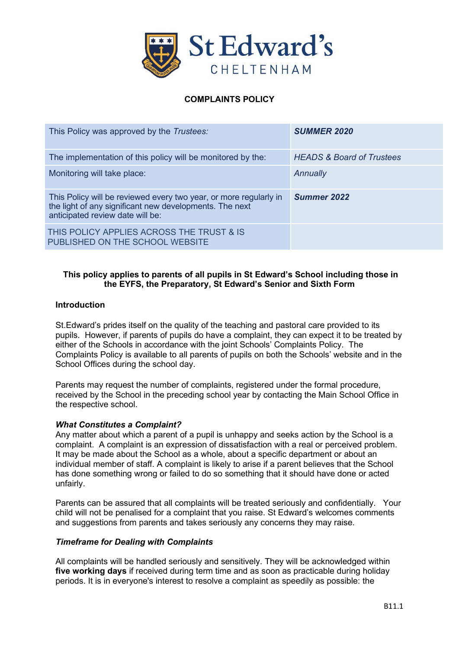

## **COMPLAINTS POLICY**

| This Policy was approved by the Trustees:                                                                                                                        | <b>SUMMER 2020</b>                   |
|------------------------------------------------------------------------------------------------------------------------------------------------------------------|--------------------------------------|
| The implementation of this policy will be monitored by the:                                                                                                      | <b>HEADS &amp; Board of Trustees</b> |
| Monitoring will take place:                                                                                                                                      | Annually                             |
| This Policy will be reviewed every two year, or more regularly in<br>the light of any significant new developments. The next<br>anticipated review date will be: | <b>Summer 2022</b>                   |
| THIS POLICY APPLIES ACROSS THE TRUST & IS                                                                                                                        |                                      |

### **This policy applies to parents of all pupils in St Edward's School including those in the EYFS, the Preparatory, St Edward's Senior and Sixth Form**

#### **Introduction**

St.Edward's prides itself on the quality of the teaching and pastoral care provided to its pupils. However, if parents of pupils do have a complaint, they can expect it to be treated by either of the Schools in accordance with the joint Schools' Complaints Policy. The Complaints Policy is available to all parents of pupils on both the Schools' website and in the School Offices during the school day.

Parents may request the number of complaints, registered under the formal procedure, received by the School in the preceding school year by contacting the Main School Office in the respective school.

#### *What Constitutes a Complaint?*

Any matter about which a parent of a pupil is unhappy and seeks action by the School is a complaint. A complaint is an expression of dissatisfaction with a real or perceived problem. It may be made about the School as a whole, about a specific department or about an individual member of staff. A complaint is likely to arise if a parent believes that the School has done something wrong or failed to do so something that it should have done or acted unfairly.

Parents can be assured that all complaints will be treated seriously and confidentially. Your child will not be penalised for a complaint that you raise. St Edward's welcomes comments and suggestions from parents and takes seriously any concerns they may raise.

#### *Timeframe for Dealing with Complaints*

All complaints will be handled seriously and sensitively. They will be acknowledged within **five working days** if received during term time and as soon as practicable during holiday periods. It is in everyone's interest to resolve a complaint as speedily as possible: the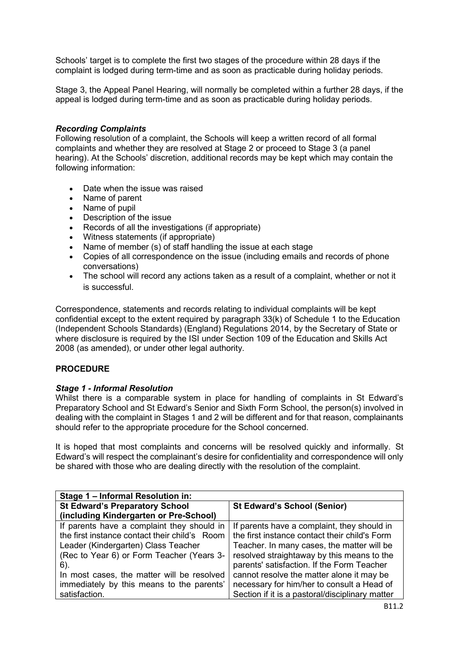Schools' target is to complete the first two stages of the procedure within 28 days if the complaint is lodged during term-time and as soon as practicable during holiday periods.

Stage 3, the Appeal Panel Hearing, will normally be completed within a further 28 days, if the appeal is lodged during term-time and as soon as practicable during holiday periods.

#### *Recording Complaints*

Following resolution of a complaint, the Schools will keep a written record of all formal complaints and whether they are resolved at Stage 2 or proceed to Stage 3 (a panel hearing). At the Schools' discretion, additional records may be kept which may contain the following information:

- Date when the issue was raised
- Name of parent
- Name of pupil
- Description of the issue
- Records of all the investigations (if appropriate)
- Witness statements (if appropriate)
- Name of member (s) of staff handling the issue at each stage
- Copies of all correspondence on the issue (including emails and records of phone conversations)
- The school will record any actions taken as a result of a complaint, whether or not it is successful.

Correspondence, statements and records relating to individual complaints will be kept confidential except to the extent required by paragraph 33(k) of Schedule 1 to the Education (Independent Schools Standards) (England) Regulations 2014, by the Secretary of State or where disclosure is required by the ISI under Section 109 of the Education and Skills Act 2008 (as amended), or under other legal authority.

### **PROCEDURE**

### *Stage 1 - Informal Resolution*

Whilst there is a comparable system in place for handling of complaints in St Edward's Preparatory School and St Edward's Senior and Sixth Form School, the person(s) involved in dealing with the complaint in Stages 1 and 2 will be different and for that reason, complainants should refer to the appropriate procedure for the School concerned.

It is hoped that most complaints and concerns will be resolved quickly and informally. St Edward's will respect the complainant's desire for confidentiality and correspondence will only be shared with those who are dealing directly with the resolution of the complaint.

| Stage 1 - Informal Resolution in:             |                                                 |  |
|-----------------------------------------------|-------------------------------------------------|--|
| <b>St Edward's Preparatory School</b>         | <b>St Edward's School (Senior)</b>              |  |
| (including Kindergarten or Pre-School)        |                                                 |  |
| If parents have a complaint they should in    | If parents have a complaint, they should in     |  |
| the first instance contact their child's Room | the first instance contact their child's Form   |  |
| Leader (Kindergarten) Class Teacher           | Teacher. In many cases, the matter will be      |  |
| (Rec to Year 6) or Form Teacher (Years 3-     | resolved straightaway by this means to the      |  |
| 6).                                           | parents' satisfaction. If the Form Teacher      |  |
| In most cases, the matter will be resolved    | cannot resolve the matter alone it may be       |  |
| immediately by this means to the parents'     | necessary for him/her to consult a Head of      |  |
| satisfaction.                                 | Section if it is a pastoral/disciplinary matter |  |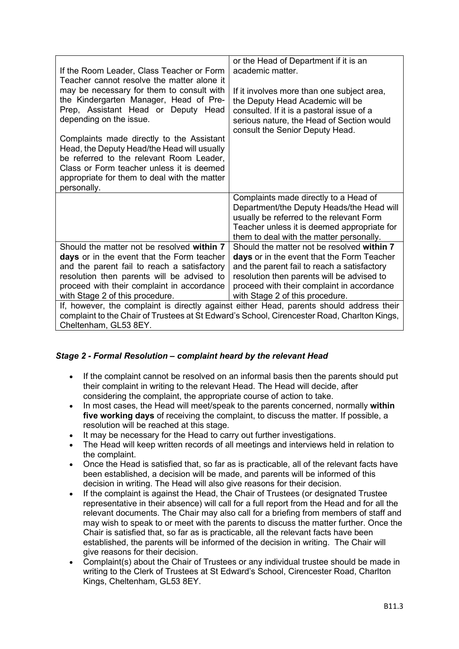| If the Room Leader, Class Teacher or Form<br>Teacher cannot resolve the matter alone it<br>may be necessary for them to consult with<br>the Kindergarten Manager, Head of Pre-<br>Prep, Assistant Head or Deputy Head<br>depending on the issue.<br>Complaints made directly to the Assistant | or the Head of Department if it is an<br>academic matter.<br>If it involves more than one subject area,<br>the Deputy Head Academic will be<br>consulted. If it is a pastoral issue of a<br>serious nature, the Head of Section would<br>consult the Senior Deputy Head. |  |
|-----------------------------------------------------------------------------------------------------------------------------------------------------------------------------------------------------------------------------------------------------------------------------------------------|--------------------------------------------------------------------------------------------------------------------------------------------------------------------------------------------------------------------------------------------------------------------------|--|
| Head, the Deputy Head/the Head will usually<br>be referred to the relevant Room Leader,<br>Class or Form teacher unless it is deemed<br>appropriate for them to deal with the matter<br>personally.                                                                                           |                                                                                                                                                                                                                                                                          |  |
|                                                                                                                                                                                                                                                                                               | Complaints made directly to a Head of<br>Department/the Deputy Heads/the Head will<br>usually be referred to the relevant Form<br>Teacher unless it is deemed appropriate for<br>them to deal with the matter personally.                                                |  |
| Should the matter not be resolved within 7<br>days or in the event that the Form teacher<br>and the parent fail to reach a satisfactory<br>resolution then parents will be advised to<br>proceed with their complaint in accordance<br>with Stage 2 of this procedure.                        | Should the matter not be resolved within 7<br>days or in the event that the Form Teacher<br>and the parent fail to reach a satisfactory<br>resolution then parents will be advised to<br>proceed with their complaint in accordance<br>with Stage 2 of this procedure.   |  |
| If, however, the complaint is directly against either Head, parents should address their<br>complaint to the Chair of Trustees at St Edward's School, Cirencester Road, Charlton Kings,<br>Cheltenham, GL53 8EY.                                                                              |                                                                                                                                                                                                                                                                          |  |

## *Stage 2 - Formal Resolution – complaint heard by the relevant Head*

- If the complaint cannot be resolved on an informal basis then the parents should put their complaint in writing to the relevant Head. The Head will decide, after considering the complaint, the appropriate course of action to take.
- In most cases, the Head will meet/speak to the parents concerned, normally **within five working days** of receiving the complaint, to discuss the matter. If possible, a resolution will be reached at this stage.
- It may be necessary for the Head to carry out further investigations.
- The Head will keep written records of all meetings and interviews held in relation to the complaint.
- Once the Head is satisfied that, so far as is practicable, all of the relevant facts have been established, a decision will be made, and parents will be informed of this decision in writing. The Head will also give reasons for their decision.
- If the complaint is against the Head, the Chair of Trustees (or designated Trustee representative in their absence) will call for a full report from the Head and for all the relevant documents. The Chair may also call for a briefing from members of staff and may wish to speak to or meet with the parents to discuss the matter further. Once the Chair is satisfied that, so far as is practicable, all the relevant facts have been established, the parents will be informed of the decision in writing. The Chair will give reasons for their decision.
- Complaint(s) about the Chair of Trustees or any individual trustee should be made in writing to the Clerk of Trustees at St Edward's School, Cirencester Road, Charlton Kings, Cheltenham, GL53 8EY.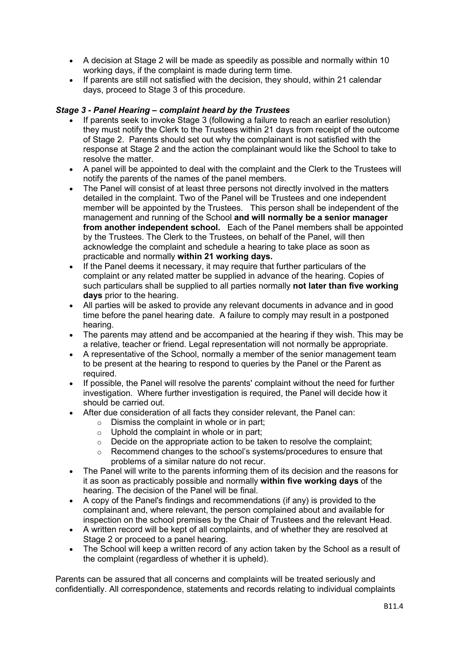- A decision at Stage 2 will be made as speedily as possible and normally within 10 working days, if the complaint is made during term time.
- If parents are still not satisfied with the decision, they should, within 21 calendar days, proceed to Stage 3 of this procedure.

## *Stage 3 - Panel Hearing – complaint heard by the Trustees*

- If parents seek to invoke Stage 3 (following a failure to reach an earlier resolution) they must notify the Clerk to the Trustees within 21 days from receipt of the outcome of Stage 2. Parents should set out why the complainant is not satisfied with the response at Stage 2 and the action the complainant would like the School to take to resolve the matter.
- A panel will be appointed to deal with the complaint and the Clerk to the Trustees will notify the parents of the names of the panel members.
- The Panel will consist of at least three persons not directly involved in the matters detailed in the complaint. Two of the Panel will be Trustees and one independent member will be appointed by the Trustees. This person shall be independent of the management and running of the School **and will normally be a senior manager from another independent school.** Each of the Panel members shall be appointed by the Trustees. The Clerk to the Trustees, on behalf of the Panel, will then acknowledge the complaint and schedule a hearing to take place as soon as practicable and normally **within 21 working days.**
- If the Panel deems it necessary, it may require that further particulars of the complaint or any related matter be supplied in advance of the hearing. Copies of such particulars shall be supplied to all parties normally **not later than five working days** prior to the hearing.
- All parties will be asked to provide any relevant documents in advance and in good time before the panel hearing date. A failure to comply may result in a postponed hearing.
- The parents may attend and be accompanied at the hearing if they wish. This may be a relative, teacher or friend. Legal representation will not normally be appropriate.
- A representative of the School, normally a member of the senior management team to be present at the hearing to respond to queries by the Panel or the Parent as required.
- If possible, the Panel will resolve the parents' complaint without the need for further investigation. Where further investigation is required, the Panel will decide how it should be carried out.
- After due consideration of all facts they consider relevant, the Panel can:
	- $\circ$  Dismiss the complaint in whole or in part;
	- $\circ$  Uphold the complaint in whole or in part;<br> $\circ$  Decide on the appropriate action to be ta
	- Decide on the appropriate action to be taken to resolve the complaint;
	- o Recommend changes to the school's systems/procedures to ensure that problems of a similar nature do not recur.
- The Panel will write to the parents informing them of its decision and the reasons for it as soon as practicably possible and normally **within five working days** of the hearing. The decision of the Panel will be final.
- A copy of the Panel's findings and recommendations (if any) is provided to the complainant and, where relevant, the person complained about and available for inspection on the school premises by the Chair of Trustees and the relevant Head.
- A written record will be kept of all complaints, and of whether they are resolved at Stage 2 or proceed to a panel hearing.
- The School will keep a written record of any action taken by the School as a result of the complaint (regardless of whether it is upheld).

Parents can be assured that all concerns and complaints will be treated seriously and confidentially. All correspondence, statements and records relating to individual complaints